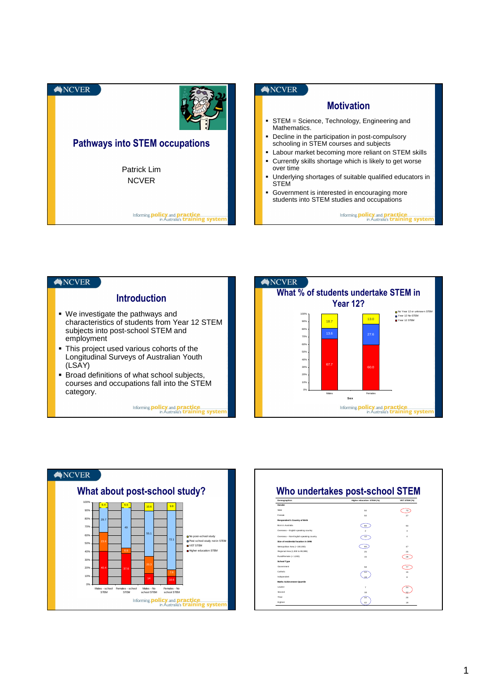





| Demographics                            | Higher education, STEM (%) | VET STEM (%)   |
|-----------------------------------------|----------------------------|----------------|
| Gender                                  |                            |                |
| Male                                    | 50                         | 73             |
| Female                                  | 50                         | 27             |
| Respondent's Country of Birth           |                            |                |
| Rom in Australia                        | 86                         | 93             |
| Overseas - English speaking country     | $\mathfrak{D}$             | $\mathbf{a}$   |
| Overseas - Non-English speaking country | 12                         | $\overline{a}$ |
| 2001 ai anitsoni Islanskan in still     |                            |                |
| Metropolitan Area (> 100.000)           | 60                         | 47             |
| Regional Area (1,000 to 99,999)         | 25                         | 25             |
| Rural/Remote (< 1.000)                  | 15                         | 28             |
| <b>School Type</b>                      |                            |                |
| Government                              | 5.R                        | 77             |
| Catholic                                |                            | 15             |
| Independent                             |                            | R              |
| Maths Achievement Quartile              |                            |                |
| Lowest                                  | $\overline{\phantom{a}}$   | 24             |
| Second                                  | 18                         |                |
| Third                                   |                            | 25             |
| Highest                                 |                            | 19             |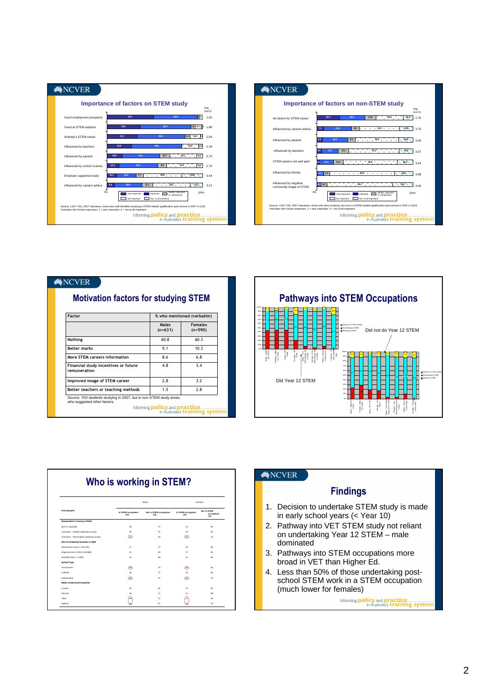



| Factor                                               | % who mentioned (verbatim) |                             |  |
|------------------------------------------------------|----------------------------|-----------------------------|--|
|                                                      | Males<br>$(n=631)$         | <b>Females</b><br>$(n=590)$ |  |
| Nothing                                              | 60.8                       | 60.3                        |  |
| <b>Better marks</b>                                  | 9.1                        | 10.3                        |  |
| More STEM careers information                        | 8.6                        | 6.8                         |  |
| Financial study incentives or future<br>remuneration | 4.8                        | 3.4                         |  |
| Improved image of STEM career                        | 2.8                        | 3.2                         |  |
| Better teachers or teaching methods                  | 1.5                        | 2.8                         |  |



| In STEM occupation | Males                         |                            |                                  |
|--------------------|-------------------------------|----------------------------|----------------------------------|
|                    |                               | Fomalos                    |                                  |
| (59)               | Not in STEM occupation<br>(%) | In STEM occupation<br>(94) | Not in STEM<br>occupation<br>C%) |
|                    |                               |                            |                                  |
| 28                 | 72                            | 15                         | 85                               |
| 25                 | 75                            | 10                         | 90                               |
| ශ                  | 63                            | ഒ                          | 75                               |
|                    |                               |                            |                                  |
| 27                 | 73                            | 15                         | 85                               |
| 31                 | 69                            | 17                         | 83                               |
| 31                 | 69                            | 15                         | 85                               |
|                    |                               |                            |                                  |
| ൡ                  | 20 <sub>1</sub>               | ൹                          | 85                               |
| 28                 | 72                            | 15                         | 85                               |
| (25)               | 75                            | ര                          | 78                               |
|                    |                               |                            |                                  |
| 19                 | 81                            | 10                         | 90                               |
| 28                 | 72                            | 12                         | 88                               |
| 29                 | 71                            | 17                         | 83                               |
|                    | 33                            | 67                         |                                  |

| <b>NCVER</b> |  |
|--------------|--|
|              |  |

## Findings

- 1. Decision to undertake STEM study is made in early school years (< Year 10)
- 2. Pathway into VET STEM study not reliant on undertaking Year 12 STEM – male dominated
- 3. Pathways into STEM occupations more broad in VET than Higher Ed.
- 4. Less than 50% of those undertaking postschool STEM work in a STEM occupation (much lower for females)

Informing **policy** and **practice**<br>in Australia's **training systen**